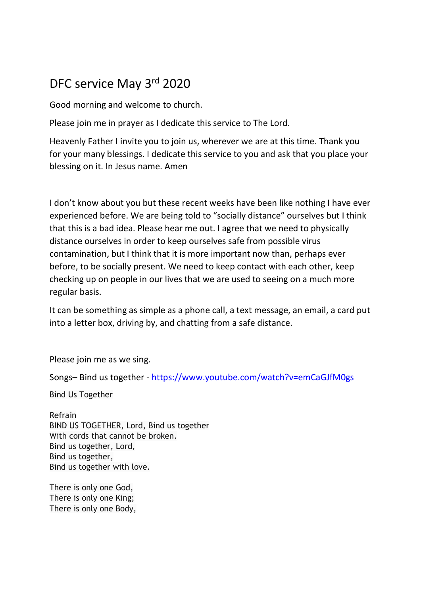## DFC service May 3rd 2020

Good morning and welcome to church.

Please join me in prayer as I dedicate this service to The Lord.

Heavenly Father I invite you to join us, wherever we are at this time. Thank you for your many blessings. I dedicate this service to you and ask that you place your blessing on it. In Jesus name. Amen

I don't know about you but these recent weeks have been like nothing I have ever experienced before. We are being told to "socially distance" ourselves but I think that this is a bad idea. Please hear me out. I agree that we need to physically distance ourselves in order to keep ourselves safe from possible virus contamination, but I think that it is more important now than, perhaps ever before, to be socially present. We need to keep contact with each other, keep checking up on people in our lives that we are used to seeing on a much more regular basis.

It can be something as simple as a phone call, a text message, an email, a card put into a letter box, driving by, and chatting from a safe distance.

Please join me as we sing.

Songs– Bind us together - https://www.youtube.com/watch?v=emCaGJfM0gs

Bind Us Together

Refrain BIND US TOGETHER, Lord, Bind us together With cords that cannot be broken. Bind us together, Lord, Bind us together, Bind us together with love.

There is only one God, There is only one King; There is only one Body,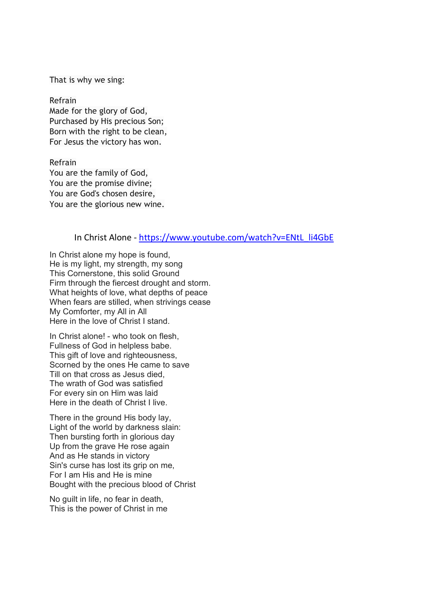That is why we sing:

Refrain Made for the glory of God, Purchased by His precious Son; Born with the right to be clean, For Jesus the victory has won.

Refrain You are the family of God, You are the promise divine; You are God's chosen desire, You are the glorious new wine.

## In Christ Alone - https://www.youtube.com/watch?v=ENtL\_li4GbE

In Christ alone my hope is found, He is my light, my strength, my song This Cornerstone, this solid Ground Firm through the fiercest drought and storm. What heights of love, what depths of peace When fears are stilled, when strivings cease My Comforter, my All in All Here in the love of Christ I stand.

In Christ alone! - who took on flesh, Fullness of God in helpless babe. This gift of love and righteousness, Scorned by the ones He came to save Till on that cross as Jesus died, The wrath of God was satisfied For every sin on Him was laid Here in the death of Christ I live.

There in the ground His body lay, Light of the world by darkness slain: Then bursting forth in glorious day Up from the grave He rose again And as He stands in victory Sin's curse has lost its grip on me, For I am His and He is mine Bought with the precious blood of Christ

No guilt in life, no fear in death, This is the power of Christ in me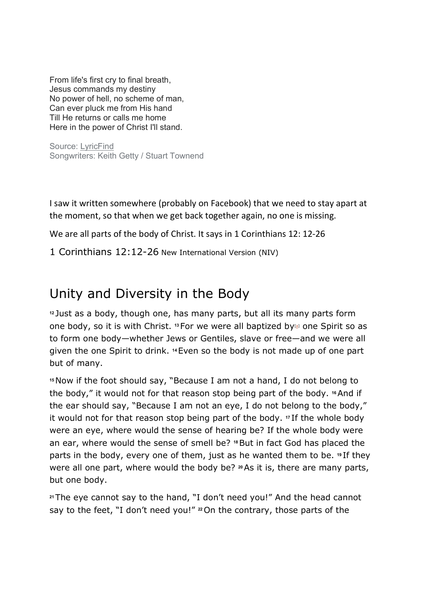From life's first cry to final breath, Jesus commands my destiny No power of hell, no scheme of man, Can ever pluck me from His hand Till He returns or calls me home Here in the power of Christ I'll stand.

Source: LyricFind Songwriters: Keith Getty / Stuart Townend

I saw it written somewhere (probably on Facebook) that we need to stay apart at the moment, so that when we get back together again, no one is missing.

We are all parts of the body of Christ. It says in 1 Corinthians 12: 12-26

1 Corinthians 12:12-26 New International Version (NIV)

## Unity and Diversity in the Body

<sup>12</sup>Just as a body, though one, has many parts, but all its many parts form one body, so it is with Christ. <sup>13</sup> For we were all baptized by<sup>[a]</sup> one Spirit so as to form one body—whether Jews or Gentiles, slave or free—and we were all given the one Spirit to drink. 14 Even so the body is not made up of one part but of many.

<sup>15</sup>Now if the foot should say, "Because I am not a hand, I do not belong to the body," it would not for that reason stop being part of the body. <sup>16</sup> And if the ear should say, "Because I am not an eye, I do not belong to the body," it would not for that reason stop being part of the body. 17 If the whole body were an eye, where would the sense of hearing be? If the whole body were an ear, where would the sense of smell be? 18 But in fact God has placed the parts in the body, every one of them, just as he wanted them to be. 19 If they were all one part, where would the body be? 20 As it is, there are many parts, but one body.

<sup>21</sup>The eye cannot say to the hand, "I don't need you!" And the head cannot say to the feet, "I don't need you!" <sup>22</sup> On the contrary, those parts of the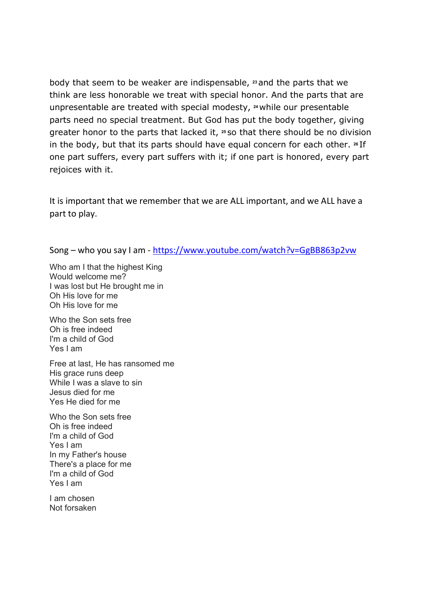body that seem to be weaker are indispensable, 23 and the parts that we think are less honorable we treat with special honor. And the parts that are unpresentable are treated with special modesty, 24 while our presentable parts need no special treatment. But God has put the body together, giving greater honor to the parts that lacked it, 25 so that there should be no division in the body, but that its parts should have equal concern for each other. 26 If one part suffers, every part suffers with it; if one part is honored, every part rejoices with it.

It is important that we remember that we are ALL important, and we ALL have a part to play.

Song – who you say I am - https://www.youtube.com/watch?v=GgBB863p2vw

Who am I that the highest King Would welcome me? I was lost but He brought me in Oh His love for me Oh His love for me

Who the Son sets free Oh is free indeed I'm a child of God Yes I am

Free at last, He has ransomed me His grace runs deep While I was a slave to sin Jesus died for me Yes He died for me

Who the Son sets free Oh is free indeed I'm a child of God Yes I am In my Father's house There's a place for me I'm a child of God Yes I am

I am chosen Not forsaken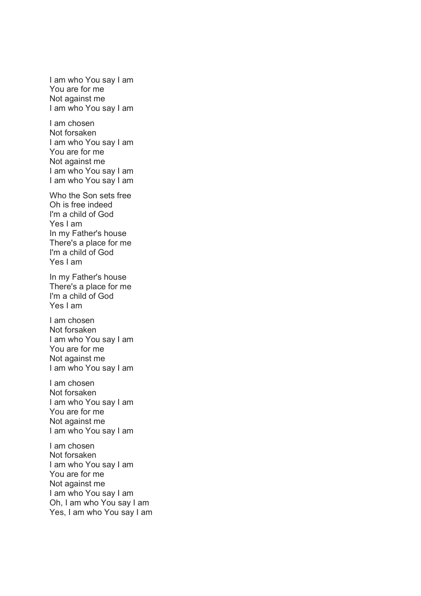I am who You say I am You are for me Not against me I am who You say I am

I am chosen Not forsaken I am who You say I am You are for me Not against me I am who You say I am I am who You say I am

Who the Son sets free Oh is free indeed I'm a child of God Yes I am In my Father's house There's a place for me I'm a child of God Yes I am

In my Father's house There's a place for me I'm a child of God Yes I am

I am chosen Not forsaken I am who You say I am You are for me Not against me I am who You say I am

I am chosen Not forsaken I am who You say I am You are for me Not against me I am who You say I am

I am chosen Not forsaken I am who You say I am You are for me Not against me I am who You say I am Oh, I am who You say I am Yes, I am who You say I am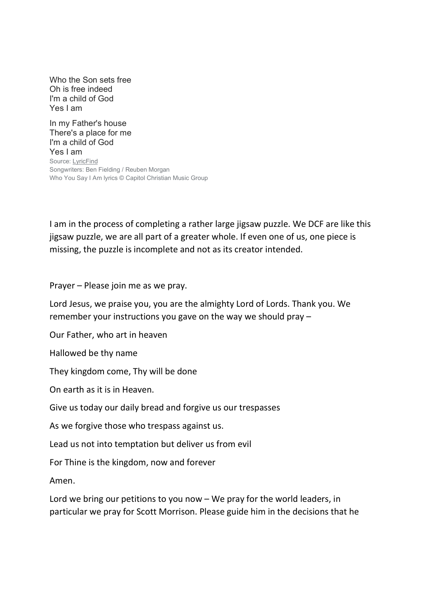Who the Son sets free Oh is free indeed I'm a child of God Yes I am

In my Father's house There's a place for me I'm a child of God Yes I am Source: LyricFind Songwriters: Ben Fielding / Reuben Morgan Who You Say I Am lyrics © Capitol Christian Music Group

I am in the process of completing a rather large jigsaw puzzle. We DCF are like this jigsaw puzzle, we are all part of a greater whole. If even one of us, one piece is missing, the puzzle is incomplete and not as its creator intended.

Prayer – Please join me as we pray.

Lord Jesus, we praise you, you are the almighty Lord of Lords. Thank you. We remember your instructions you gave on the way we should pray –

Our Father, who art in heaven

Hallowed be thy name

They kingdom come, Thy will be done

On earth as it is in Heaven.

Give us today our daily bread and forgive us our trespasses

As we forgive those who trespass against us.

Lead us not into temptation but deliver us from evil

For Thine is the kingdom, now and forever

Amen.

Lord we bring our petitions to you now – We pray for the world leaders, in particular we pray for Scott Morrison. Please guide him in the decisions that he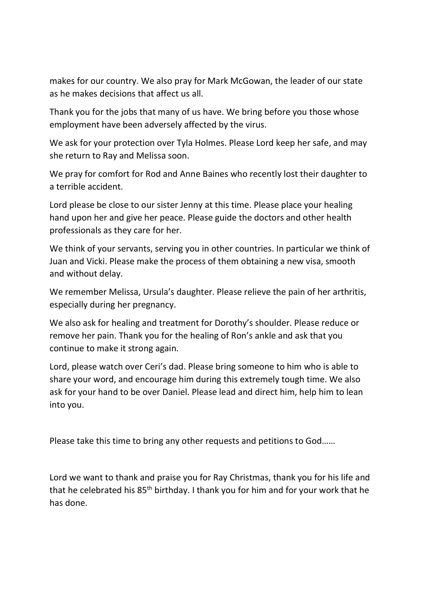makes for our country. We also pray for Mark McGowan, the leader of our state as he makes decisions that affect us all.

Thank you for the jobs that many of us have. We bring before you those whose employment have been adversely affected by the virus.

We ask for your protection over Tyla Holmes. Please Lord keep her safe, and may she return to Ray and Melissa soon.

We pray for comfort for Rod and Anne Baines who recently lost their daughter to a terrible accident.

Lord please be close to our sister Jenny at this time. Please place your healing hand upon her and give her peace. Please guide the doctors and other health professionals as they care for her.

We think of your servants, serving you in other countries. In particular we think of Juan and Vicki. Please make the process of them obtaining a new visa, smooth and without delay.

We remember Melissa, Ursula's daughter. Please relieve the pain of her arthritis, especially during her pregnancy.

We also ask for healing and treatment for Dorothy's shoulder. Please reduce or remove her pain. Thank you for the healing of Ron's ankle and ask that you continue to make it strong again.

Lord, please watch over Ceri's dad. Please bring someone to him who is able to share your word, and encourage him during this extremely tough time. We also ask for your hand to be over Daniel. Please lead and direct him, help him to lean into you.

Please take this time to bring any other requests and petitions to God……

Lord we want to thank and praise you for Ray Christmas, thank you for his life and that he celebrated his  $85<sup>th</sup>$  birthday. I thank you for him and for your work that he has done.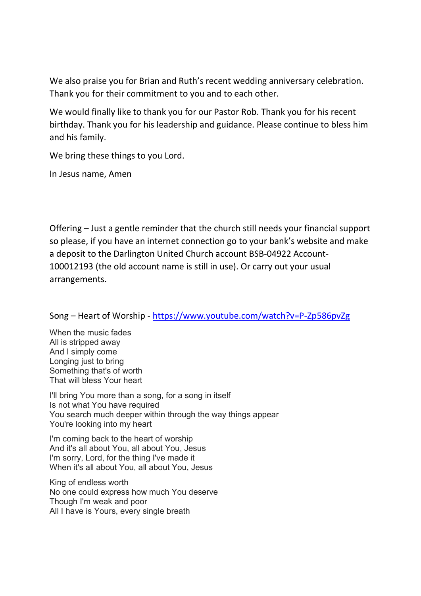We also praise you for Brian and Ruth's recent wedding anniversary celebration. Thank you for their commitment to you and to each other.

We would finally like to thank you for our Pastor Rob. Thank you for his recent birthday. Thank you for his leadership and guidance. Please continue to bless him and his family.

We bring these things to you Lord.

In Jesus name, Amen

Offering – Just a gentle reminder that the church still needs your financial support so please, if you have an internet connection go to your bank's website and make a deposit to the Darlington United Church account BSB-04922 Account-100012193 (the old account name is still in use). Or carry out your usual arrangements.

## Song – Heart of Worship - https://www.youtube.com/watch?v=P-Zp586pvZg

When the music fades All is stripped away And I simply come Longing just to bring Something that's of worth That will bless Your heart

I'll bring You more than a song, for a song in itself Is not what You have required You search much deeper within through the way things appear You're looking into my heart

I'm coming back to the heart of worship And it's all about You, all about You, Jesus I'm sorry, Lord, for the thing I've made it When it's all about You, all about You, Jesus

King of endless worth No one could express how much You deserve Though I'm weak and poor All I have is Yours, every single breath